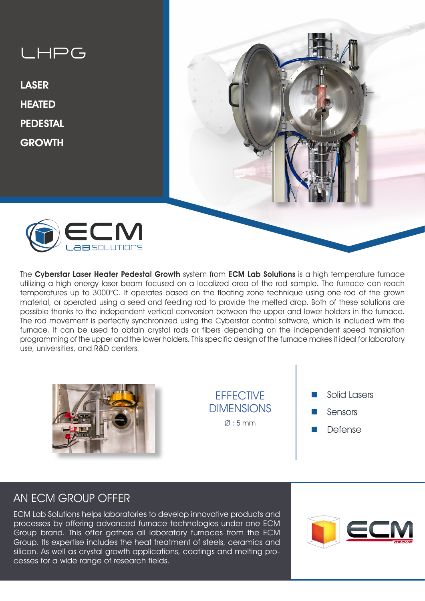# LHPG

LASER **HEATED** PEDESTAL **GROWTH** 





The Cyberstar Laser Heater Pedestal Growth system from ECM Lab Solutions is a high temperature furnace utilizing a high energy laser beam focused on a localized area of the rod sample. The furnace can reach temperatures up to 3000°C. It operates based on the floating zone technique using one rod of the grown material, or operated using a seed and feeding rod to provide the melted drop. Both of these solutions are possible thanks to the independent vertical conversion between the upper and lower holders in the furnace. The rod movement is perfectly synchronized using the Cyberstar control software, which is included with the furnace. It can be used to obtain crystal rods or fibers depending on the independent speed translation programming of the upper and the lower holders. This specific design of the furnace makes it ideal for laboratory use, universities, and R&D centers.



**FFFFCTIVE DIMENSIONS**  $\varnothing$ : 5 mm

- Solid Lasers
- Sensors
- **Defense**

## AN ECM GROUP OFFER

ECM Lab Solutions helps laboratories to develop innovative products and processes by offering advanced furnace technologies under one ECM Group brand. This offer gathers all laboratory furnaces from the ECM Group. Its expertise includes the heat treatment of steels, ceramics and silicon. As well as crystal growth applications, coatings and melting processes for a wide range of research fields.